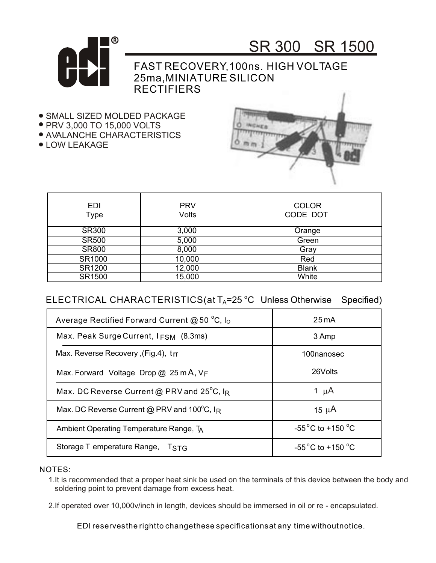

## SR 300 SR 1500

FAST RECOVERY,100ns. HIGH VOLTAGE 25ma,MINIATURE SILICON **RECTIFIERS** 

- **.** SMALL SIZED MOLDED PACKAGE
- PRV 3,000 TO 15,000 VOLTS
- AVALANCHE CHARACTERISTICS
- LOW LEAKAGE



| <b>EDI</b><br>Type | <b>PRV</b><br><b>Volts</b> | <b>COLOR</b><br>CODE DOT |
|--------------------|----------------------------|--------------------------|
| <b>SR300</b>       | 3,000                      | Orange                   |
| <b>SR500</b>       | 5,000                      | Green                    |
| <b>SR800</b>       | 8,000                      | Gray                     |
| SR1000             | 10,000                     | Red                      |
| SR1200             | 12,000                     | <b>Blank</b>             |
| SR1500             | 15,000                     | White                    |

## $\mathsf{ELECTRICAL}\ \mathsf{CHARACTERISTICS}$ (at T<sub>A</sub>=25 °C Unless Otherwise Specified)

| Average Rectified Forward Current @ 50 $^{\circ}$ C, I <sub>O</sub> | $25 \,\mathrm{mA}$                   |
|---------------------------------------------------------------------|--------------------------------------|
| Max. Peak Surge Current, I <sub>FSM</sub> (8.3ms)                   | 3 Amp                                |
| Max. Reverse Recovery, (Fig.4), trr                                 | 100nanosec                           |
| Max. Forward Voltage Drop $@$ 25 m A, $V_F$                         | 26Volts                              |
| Max. DC Reverse Current @ PRV and 25°C, IR                          | 1 $\mu$ A                            |
| Max. DC Reverse Current @ PRV and $100^{\circ}$ C, IR               | 15 $\mu$ A                           |
| Ambient Operating Temperature Range, TA                             | $-55^{\circ}$ C to +150 $^{\circ}$ C |
| Storage T emperature Range, T <sub>STG</sub>                        | $-55^{\circ}$ C to +150 $^{\circ}$ C |

NOTES:

1.It is recommended that a proper heat sink be used on the terminals of this device between the body and soldering point to prevent damage from excess heat.

2.If operated over 10,000v/inch in length, devices should be immersed in oil or re - encapsulated.

EDI reservesthe rightto changethese specificationsat any time withoutnotice.